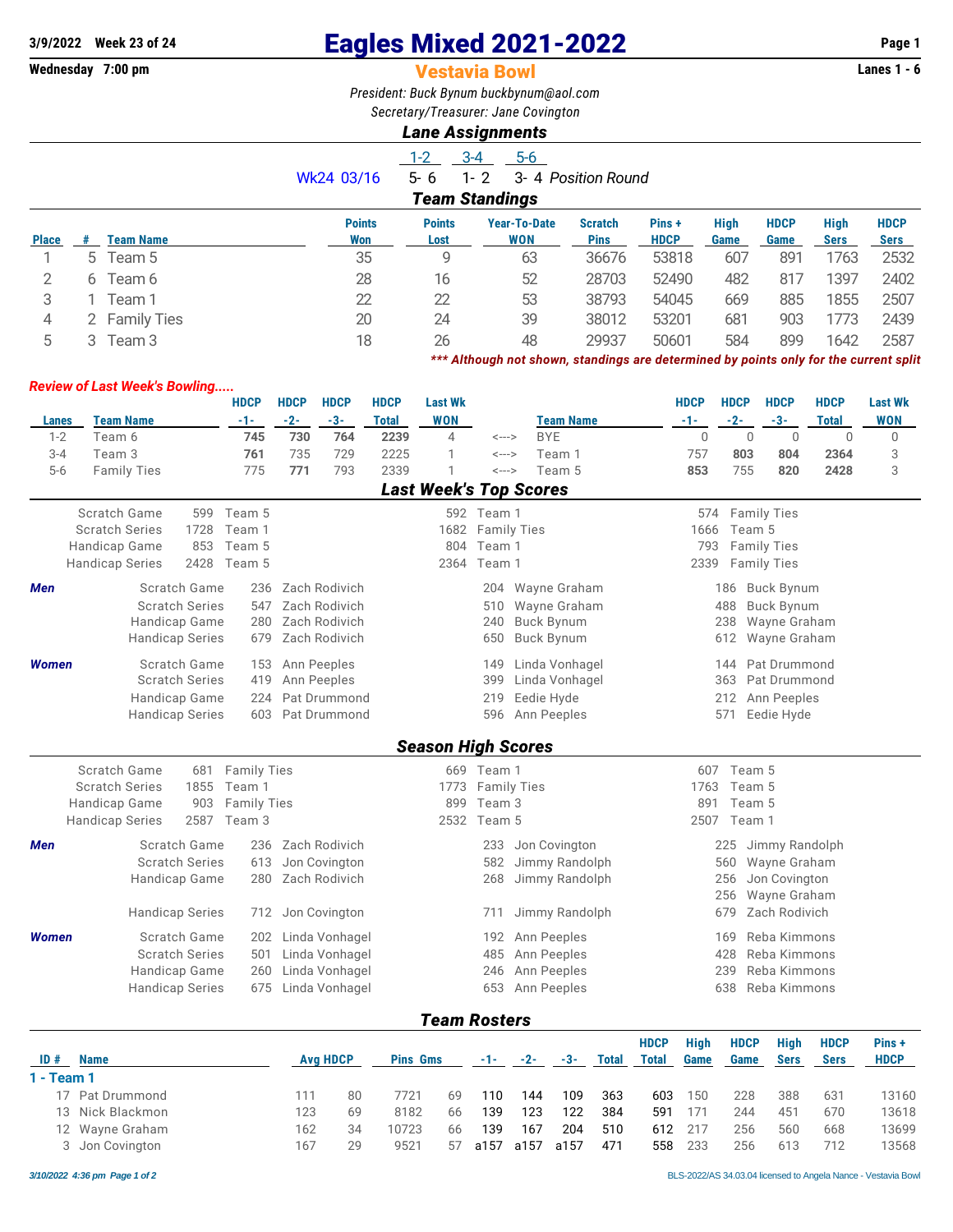# **2/9/2022** Week 23 of 24 **Eagles Mixed 2021-2022** Page 1<br>**Wednesday 7:00 pm Page 1 Vestavia Bowl**

#### **Vestavia Bowl**

*President: Buck Bynum [buckbynum@aol.com](mailto:buckbynum@aol.com) Secretary/Treasurer: Jane Covington*

## *Lane Assignments*

|              |                       |                    |               | $1 - 2$       | $3 - 4$<br>$5-6$    |                     |             |             |             |             |             |  |  |  |
|--------------|-----------------------|--------------------|---------------|---------------|---------------------|---------------------|-------------|-------------|-------------|-------------|-------------|--|--|--|
|              |                       |                    | Wk24 03/16    | $5 - 6$       | $1 - 2$             | 3- 4 Position Round |             |             |             |             |             |  |  |  |
|              | <b>Team Standings</b> |                    |               |               |                     |                     |             |             |             |             |             |  |  |  |
|              |                       |                    | <b>Points</b> | <b>Points</b> | <b>Year-To-Date</b> | <b>Scratch</b>      | Pins +      | <b>High</b> | <b>HDCP</b> | <b>High</b> | <b>HDCP</b> |  |  |  |
| <b>Place</b> |                       | <b>Team Name</b>   | Won           | Lost          | <b>WON</b>          | <b>Pins</b>         | <b>HDCP</b> | Game        | Game        | <b>Sers</b> | Sers        |  |  |  |
|              | 5                     | Team 5             | 35            | 9             | 63                  | 36676               | 53818       | 607         | 891         | 1763        | 2532        |  |  |  |
| 2            | 6                     | Team 6             | 28            | 16            | 52                  | 28703               | 52490       | 482         | 817         | 1397        | 2402        |  |  |  |
| 3            |                       | Team 1             | 22            | 22            | 53                  | 38793               | 54045       | 669         | 885         | 1855        | 2507        |  |  |  |
| 4            |                       | <b>Family Ties</b> | 20            | 24            | 39                  | 38012               | 53201       | 681         | 903         | 1773        | 2439        |  |  |  |
| 5            |                       | Team 3             | 18            | 26            | 48                  | 29937               | 50601       | 584         | 899         | 1642        | 2587        |  |  |  |

*\*\*\* Although not shown, standings are determined by points only for the current split*

### *Review of Last Week's Bowling.....*

|         |                         | <b>HDCP</b> | <b>HDCP</b> | <b>HDCP</b> | <b>HDCP</b> | <b>Last Wk</b> |       |           | <b>HDCP</b> | <b>HDCP</b> | <b>HDCP</b> | <b>HDCP</b> | <b>Last Wk</b> |
|---------|-------------------------|-------------|-------------|-------------|-------------|----------------|-------|-----------|-------------|-------------|-------------|-------------|----------------|
| Lanes   | <b>Team Name</b>        | -1-         | $-2-$       | -3-         | Total       | <b>WON</b>     |       | Team Name | -1-         | $-2-$       | $-3-$       | Total       | <b>WON</b>     |
| $1 - 2$ | Геат 6                  | 745         | 730         | 764         | 2239        |                | <---> | BYE       |             |             |             |             |                |
| $3 - 4$ | Геат З                  | 761         | 735         | 729         | 2225        |                | <---> | Team 1    | 757         | 803         | 804         | 2364        |                |
| $5-6$   | <b>Family Ties</b>      | 775         | 771         | 793         | 2339        |                | <---> | Team 5    | 853         | 755         | 820         | 2428        |                |
|         | l ast Week's Ton Scores |             |             |             |             |                |       |           |             |             |             |             |                |

|               | <b>LAST ILLED 3 TAN ACAILS</b> |                        |            |                   |     |                  |                  |                 |                  |  |  |  |  |
|---------------|--------------------------------|------------------------|------------|-------------------|-----|------------------|------------------|-----------------|------------------|--|--|--|--|
|               | Scratch Game                   |                        | 599 Team 5 |                   |     | 592 Team 1       |                  |                 | 574 Family Ties  |  |  |  |  |
|               | <b>Scratch Series</b>          | 1728                   | Team 1     |                   |     | 1682 Family Ties |                  |                 | 1666 Team 5      |  |  |  |  |
|               | Handicap Game                  | 853                    | Team 5     |                   | 804 | Team 1           |                  | 793 Family Ties |                  |  |  |  |  |
|               | <b>Handicap Series</b>         | 2428                   | Team 5     |                   |     | 2364 Team 1      |                  |                 | 2339 Family Ties |  |  |  |  |
| Men           |                                | Scratch Game           |            | 236 Zach Rodivich |     |                  | 204 Wayne Graham |                 | 186 Buck Bynum   |  |  |  |  |
|               |                                | <b>Scratch Series</b>  |            | 547 Zach Rodivich |     |                  | 510 Wayne Graham |                 | 488 Buck Bynum   |  |  |  |  |
| Handicap Game |                                |                        |            | 280 Zach Rodivich |     |                  | 240 Buck Bynum   |                 | 238 Wayne Graham |  |  |  |  |
|               |                                | <b>Handicap Series</b> |            | 679 Zach Rodivich |     |                  | 650 Buck Bynum   |                 | 612 Wayne Graham |  |  |  |  |
| <b>Women</b>  |                                | Scratch Game           |            | 153 Ann Peeples   |     | 149              | Linda Vonhagel   |                 | 144 Pat Drummond |  |  |  |  |
|               |                                | <b>Scratch Series</b>  |            | 419 Ann Peeples   |     | 399              | Linda Vonhagel   |                 | 363 Pat Drummond |  |  |  |  |
|               |                                | Handicap Game          |            | 224 Pat Drummond  |     |                  | 219 Eedie Hyde   | 212             | Ann Peeples      |  |  |  |  |
|               |                                | <b>Handicap Series</b> |            | 603 Pat Drummond  |     |                  | 596 Ann Peeples  | 571             | Eedie Hyde       |  |  |  |  |
|               |                                |                        |            |                   |     |                  |                  |                 |                  |  |  |  |  |

## *Season High Scores*

|              | Scratch Game<br><b>Scratch Series</b><br>1855<br>Handicap Game<br>903<br><b>Handicap Series</b><br>2587 | 681 Family Ties<br>Team 1<br><b>Family Ties</b><br>Team 3 |                                                                      | 669<br>1773<br>899 | Team 1<br><b>Family Ties</b><br>Team 3<br>2532 Team 5 |                                                                     | 607<br>1763<br>891<br>2507 | Team 5<br>Team 5<br>Team 5<br>Team 1                                                         |
|--------------|---------------------------------------------------------------------------------------------------------|-----------------------------------------------------------|----------------------------------------------------------------------|--------------------|-------------------------------------------------------|---------------------------------------------------------------------|----------------------------|----------------------------------------------------------------------------------------------|
| <b>Men</b>   | Scratch Game<br><b>Scratch Series</b><br>Handicap Game<br><b>Handicap Series</b>                        | 236<br>613<br>280<br>712                                  | Zach Rodivich<br>Jon Covington<br>Zach Rodivich<br>Jon Covington     |                    | 233<br>582<br>268<br>711                              | Jon Covington<br>Jimmy Randolph<br>Jimmy Randolph<br>Jimmy Randolph | 225<br>679                 | Jimmy Randolph<br>560 Wayne Graham<br>256 Jon Covington<br>256 Wayne Graham<br>Zach Rodivich |
| <b>Women</b> | Scratch Game<br><b>Scratch Series</b><br>Handicap Game<br><b>Handicap Series</b>                        | 202<br>501<br>260<br>675                                  | Linda Vonhagel<br>Linda Vonhagel<br>Linda Vonhagel<br>Linda Vonhagel |                    | 485<br>246<br>653                                     | 192 Ann Peeples<br>Ann Peeples<br>Ann Peeples<br>Ann Peeples        | 169<br>428<br>239<br>638   | Reba Kimmons<br>Reba Kimmons<br>Reba Kimmons<br>Reba Kimmons                                 |

*Team Rosters*

| ID#<br>1 - Team 1 | <b>Name</b>      | <b>Avg HDCP</b> |    | <b>Pins Gms</b> |    | $-1-$ | $-2-$ | $-3-$ | <b>Total</b> | <b>HDCP</b><br>Total | Hiah<br>Game | <b>HDCP</b><br>Game | <b>High</b><br><b>Sers</b> | <b>HDCP</b><br><b>Sers</b> | Pins+<br><b>HDCP</b> |
|-------------------|------------------|-----------------|----|-----------------|----|-------|-------|-------|--------------|----------------------|--------------|---------------------|----------------------------|----------------------------|----------------------|
|                   | 17 Pat Drummond  | 111             | 80 | 7721            | 69 | 110   | 144   | 109   | 363          | 603                  | 150          | 228                 | 388                        | 631                        | 13160                |
|                   | 13 Nick Blackmon | 123             | 69 | 8182            | 66 | 139   | 123   | 122   | 384          | 591                  | 171          | 244                 | 451                        | 670                        | 13618                |
|                   | 12 Wayne Graham  | 162             | 34 | 10723           | 66 | 139   | 167   | 204   | 510          | 612                  | 217          | 256                 | 560                        | 668                        | 13699                |
|                   | 3 Jon Covington  | 167             | 29 | 9521            | 57 | a157  | a157  | a157  | 471          | 558                  | 233          | 256                 | 613                        | 712                        | 13568                |